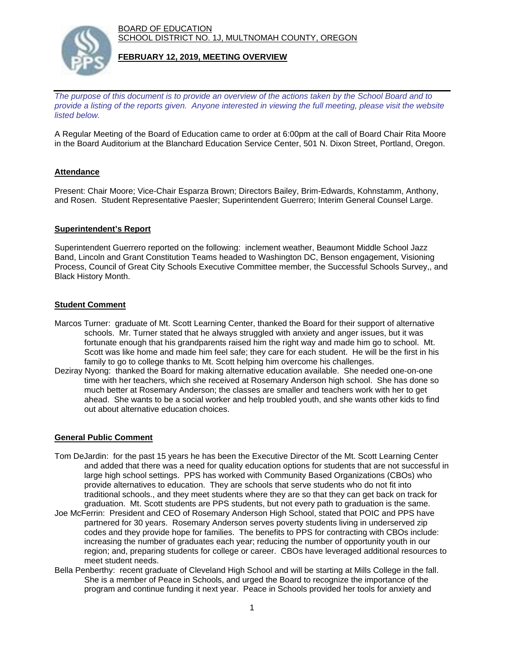BOARD OF EDUCATION SCHOOL DISTRICT NO. 1J, MULTNOMAH COUNTY, OREGON



### **FEBRUARY 12, 2019, MEETING OVERVIEW**

*The purpose of this document is to provide an overview of the actions taken by the School Board and to provide a listing of the reports given. Anyone interested in viewing the full meeting, please visit the website listed below.*

A Regular Meeting of the Board of Education came to order at 6:00pm at the call of Board Chair Rita Moore in the Board Auditorium at the Blanchard Education Service Center, 501 N. Dixon Street, Portland, Oregon.

## **Attendance**

Present: Chair Moore; Vice-Chair Esparza Brown; Directors Bailey, Brim-Edwards, Kohnstamm, Anthony, and Rosen. Student Representative Paesler; Superintendent Guerrero; Interim General Counsel Large.

## **Superintendent's Report**

Superintendent Guerrero reported on the following: inclement weather, Beaumont Middle School Jazz Band, Lincoln and Grant Constitution Teams headed to Washington DC, Benson engagement, Visioning Process, Council of Great City Schools Executive Committee member, the Successful Schools Survey,, and Black History Month.

#### **Student Comment**

- Marcos Turner: graduate of Mt. Scott Learning Center, thanked the Board for their support of alternative schools. Mr. Turner stated that he always struggled with anxiety and anger issues, but it was fortunate enough that his grandparents raised him the right way and made him go to school. Mt. Scott was like home and made him feel safe; they care for each student. He will be the first in his family to go to college thanks to Mt. Scott helping him overcome his challenges.
- Deziray Nyong: thanked the Board for making alternative education available. She needed one-on-one time with her teachers, which she received at Rosemary Anderson high school. She has done so much better at Rosemary Anderson; the classes are smaller and teachers work with her to get ahead. She wants to be a social worker and help troubled youth, and she wants other kids to find out about alternative education choices.

## **General Public Comment**

- Tom DeJardin: for the past 15 years he has been the Executive Director of the Mt. Scott Learning Center and added that there was a need for quality education options for students that are not successful in large high school settings. PPS has worked with Community Based Organizations (CBOs) who provide alternatives to education. They are schools that serve students who do not fit into traditional schools., and they meet students where they are so that they can get back on track for graduation. Mt. Scott students are PPS students, but not every path to graduation is the same.
- Joe McFerrin: President and CEO of Rosemary Anderson High School, stated that POIC and PPS have partnered for 30 years. Rosemary Anderson serves poverty students living in underserved zip codes and they provide hope for families. The benefits to PPS for contracting with CBOs include: increasing the number of graduates each year; reducing the number of opportunity youth in our region; and, preparing students for college or career. CBOs have leveraged additional resources to meet student needs.
- Bella Penberthy: recent graduate of Cleveland High School and will be starting at Mills College in the fall. She is a member of Peace in Schools, and urged the Board to recognize the importance of the program and continue funding it next year. Peace in Schools provided her tools for anxiety and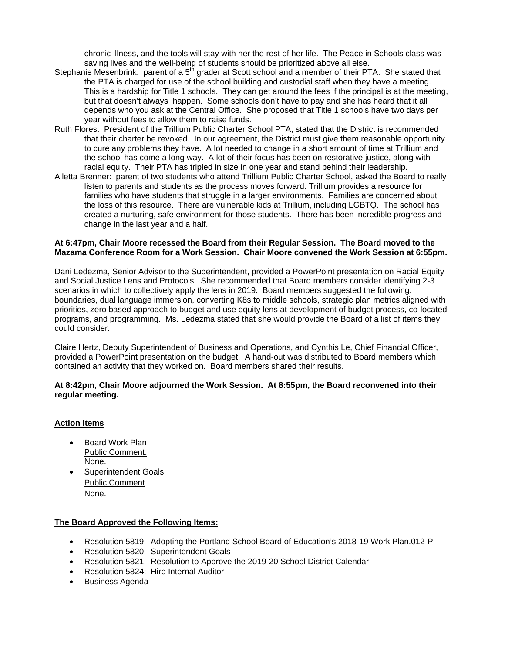chronic illness, and the tools will stay with her the rest of her life. The Peace in Schools class was saving lives and the well-being of students should be prioritized above all else.

- Stephanie Mesenbrink: parent of a 5<sup>th</sup> grader at Scott school and a member of their PTA. She stated that the PTA is charged for use of the school building and custodial staff when they have a meeting. This is a hardship for Title 1 schools. They can get around the fees if the principal is at the meeting, but that doesn't always happen. Some schools don't have to pay and she has heard that it all depends who you ask at the Central Office. She proposed that Title 1 schools have two days per year without fees to allow them to raise funds.
- Ruth Flores: President of the Trillium Public Charter School PTA, stated that the District is recommended that their charter be revoked. In our agreement, the District must give them reasonable opportunity to cure any problems they have. A lot needed to change in a short amount of time at Trillium and the school has come a long way. A lot of their focus has been on restorative justice, along with racial equity. Their PTA has tripled in size in one year and stand behind their leadership.
- Alletta Brenner: parent of two students who attend Trillium Public Charter School, asked the Board to really listen to parents and students as the process moves forward. Trillium provides a resource for families who have students that struggle in a larger environments. Families are concerned about the loss of this resource. There are vulnerable kids at Trillium, including LGBTQ. The school has created a nurturing, safe environment for those students. There has been incredible progress and change in the last year and a half.

#### **At 6:47pm, Chair Moore recessed the Board from their Regular Session. The Board moved to the Mazama Conference Room for a Work Session. Chair Moore convened the Work Session at 6:55pm.**

Dani Ledezma, Senior Advisor to the Superintendent, provided a PowerPoint presentation on Racial Equity and Social Justice Lens and Protocols. She recommended that Board members consider identifying 2-3 scenarios in which to collectively apply the lens in 2019. Board members suggested the following: boundaries, dual language immersion, converting K8s to middle schools, strategic plan metrics aligned with priorities, zero based approach to budget and use equity lens at development of budget process, co-located programs, and programming. Ms. Ledezma stated that she would provide the Board of a list of items they could consider.

Claire Hertz, Deputy Superintendent of Business and Operations, and Cynthis Le, Chief Financial Officer, provided a PowerPoint presentation on the budget. A hand-out was distributed to Board members which contained an activity that they worked on. Board members shared their results.

#### **At 8:42pm, Chair Moore adjourned the Work Session. At 8:55pm, the Board reconvened into their regular meeting.**

## **Action Items**

- Board Work Plan Public Comment: None.
- Superintendent Goals Public Comment None.

## **The Board Approved the Following Items:**

- Resolution 5819: Adopting the Portland School Board of Education's 2018-19 Work Plan.012-P
- Resolution 5820: Superintendent Goals
- Resolution 5821: Resolution to Approve the 2019-20 School District Calendar
- Resolution 5824: Hire Internal Auditor
- Business Agenda